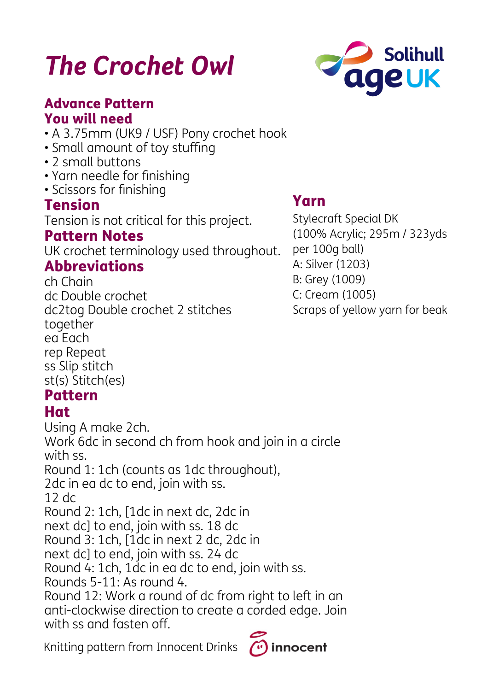# *The Crochet Owl*

#### Advance Pattern You will need

- A 3.75mm (UK9 / USF) Pony crochet hook
- Small amount of toy stuffing
- 2 small buttons
- Yarn needle for finishing
- Scissors for finishing

#### Tension

Tension is not critical for this project.

#### Pattern Notes

UK crochet terminology used throughout.

#### **Abbreviations**

ch Chain dc Double crochet dc2tog Double crochet 2 stitches together ea Each rep Repeat ss Slip stitch st(s) Stitch(es)

#### Pattern

#### Hat

Using A make 2ch. Work 6dc in second ch from hook and join in a circle with ss. Round 1: 1ch (counts as 1dc throughout), 2dc in ea dc to end, join with ss. 12 dc Round 2: 1ch, [1dc in next dc, 2dc in next dc] to end, join with ss. 18 dc Round 3: 1ch, [1dc in next 2 dc, 2dc in next dc] to end, join with ss. 24 dc Round 4: 1ch, 1dc in ea dc to end, join with ss. Rounds 5-11: As round 4. Round 12: Work a round of dc from right to left in an anti-clockwise direction to create a corded edge. Join with ss and fasten off.

Knitting pattern from Innocent Drinks

# Yarn

innocent

Stylecraft Special DK (100% Acrylic; 295m / 323yds per 100g ball) A: Silver (1203) B: Grey (1009) C: Cream (1005) Scraps of yellow yarn for beak